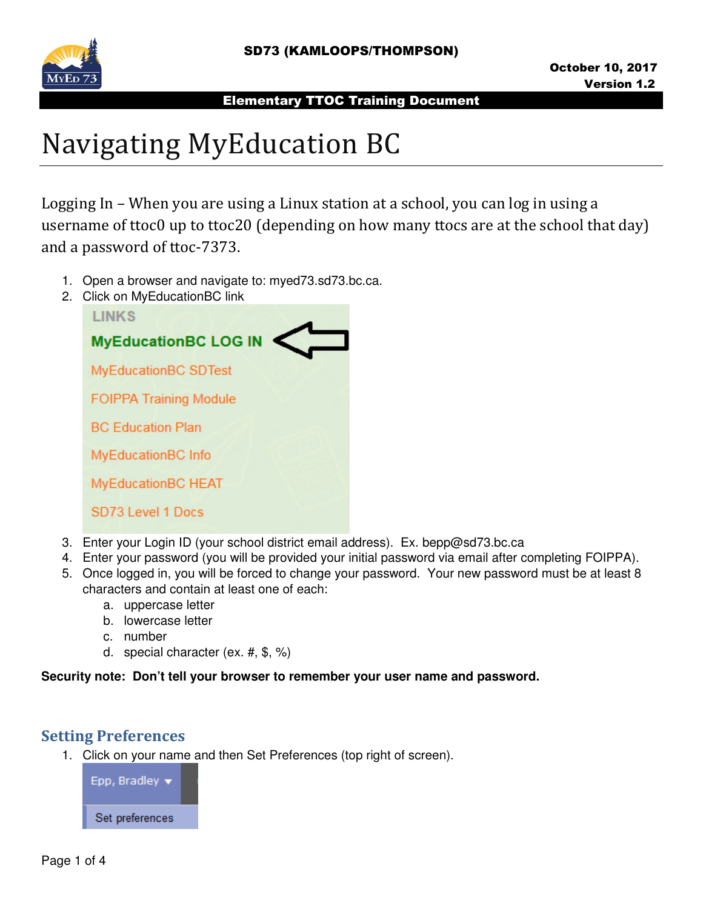

# Navigating MyEducation BC

Logging In – When you are using a Linux station at a school, you can log in using a username of ttoc0 up to ttoc20 (depending on how many ttocs are at the school that day) and a password of ttoc-7373.

- 1. Open a browser and navigate to: myed73.sd73.bc.ca.
- 2. Click on MyEducationBC link



- 3. Enter your Login ID (your school district email address). Ex. bepp@sd73.bc.ca
- 4. Enter your password (you will be provided your initial password via email after completing FOIPPA).
- 5. Once logged in, you will be forced to change your password. Your new password must be at least 8 characters and contain at least one of each:
	- a. uppercase letter
	- b. lowercase letter
	- c. number
	- d. special character (ex. #, \$, %)

#### **Security note: Don't tell your browser to remember your user name and password.**

# Setting Preferences

1. Click on your name and then Set Preferences (top right of screen).

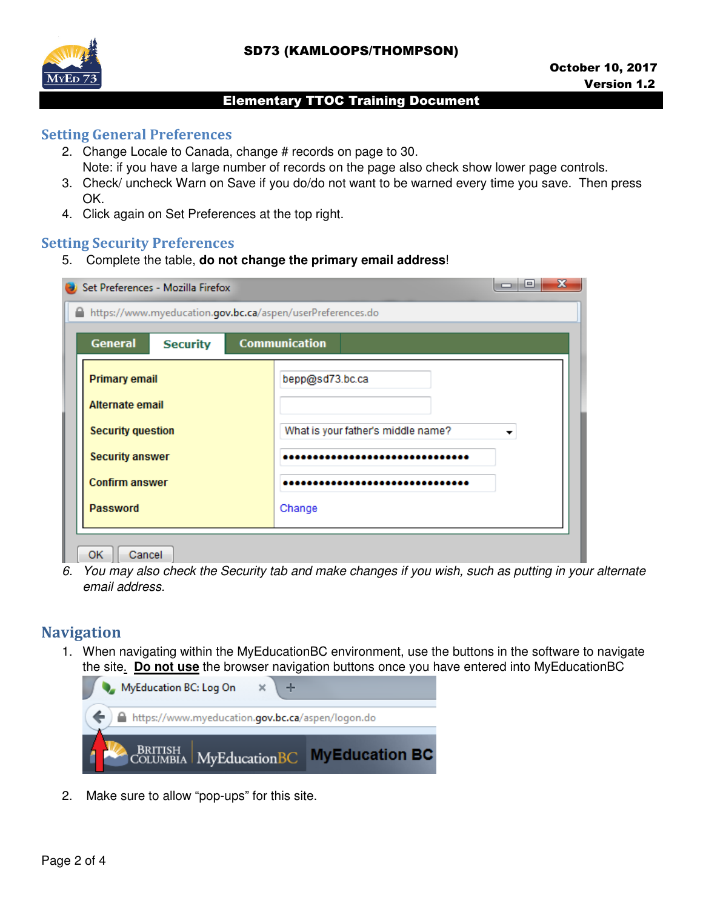

## Setting General Preferences

- 2. Change Locale to Canada, change # records on page to 30. Note: if you have a large number of records on the page also check show lower page controls.
- 3. Check/ uncheck Warn on Save if you do/do not want to be warned every time you save. Then press OK.
- 4. Click again on Set Preferences at the top right.

## Setting Security Preferences

5. Complete the table, **do not change the primary email address**!

| Set Preferences - Mozilla Firefox                                           |  | х<br>l = l                         |  |
|-----------------------------------------------------------------------------|--|------------------------------------|--|
| https://www.myeducation.gov.bc.ca/aspen/userPreferences.do                  |  |                                    |  |
| <b>General</b><br><b>Communication</b><br><b>Security</b>                   |  |                                    |  |
| Primary email                                                               |  | bepp@sd73.bc.ca                    |  |
| Alternate email                                                             |  |                                    |  |
| <b>Security question</b><br><b>Security answer</b><br><b>Confirm answer</b> |  | What is your father's middle name? |  |
|                                                                             |  |                                    |  |
|                                                                             |  |                                    |  |
| <b>Password</b>                                                             |  | Change                             |  |
|                                                                             |  |                                    |  |
| ОΚ<br>Cancel                                                                |  |                                    |  |

6. You may also check the Security tab and make changes if you wish, such as putting in your alternate email address.

# **Navigation**

1. When navigating within the MyEducationBC environment, use the buttons in the software to navigate the site. **Do not use** the browser navigation buttons once you have entered into MyEducationBC



2. Make sure to allow "pop-ups" for this site.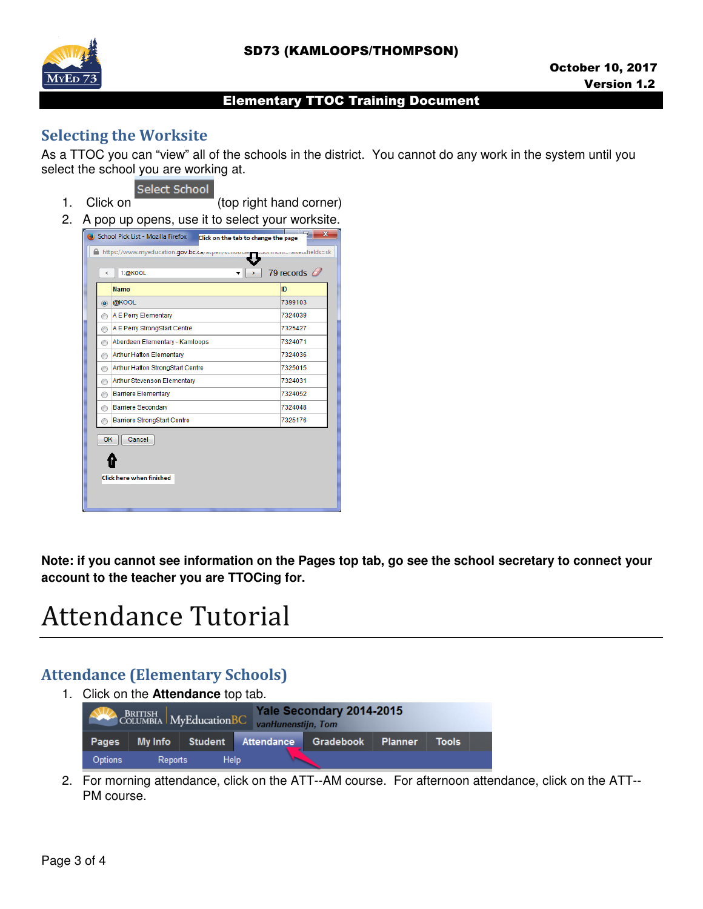

# Selecting the Worksite

As a TTOC you can "view" all of the schools in the district. You cannot do any work in the system until you select the school you are working at.



1. Click on (top right hand corner)

2. A pop up opens, use it to select your worksite.



**Note: if you cannot see information on the Pages top tab, go see the school secretary to connect your account to the teacher you are TTOCing for.** 

# Attendance Tutorial

# Attendance (Elementary Schools)

1. Click on the **Attendance** top tab.

| Yale Secondary 2014-2015<br>BRITISH MyEducationBC<br>vanHunenstijn, Tom |         |             |                                      |  |                |              |  |
|-------------------------------------------------------------------------|---------|-------------|--------------------------------------|--|----------------|--------------|--|
| Pages                                                                   |         |             | My Info Student Attendance Gradebook |  | <b>Planner</b> | <b>Tools</b> |  |
| <b>Options</b>                                                          | Reports | <b>Help</b> |                                      |  |                |              |  |

2. For morning attendance, click on the ATT--AM course. For afternoon attendance, click on the ATT-- PM course.